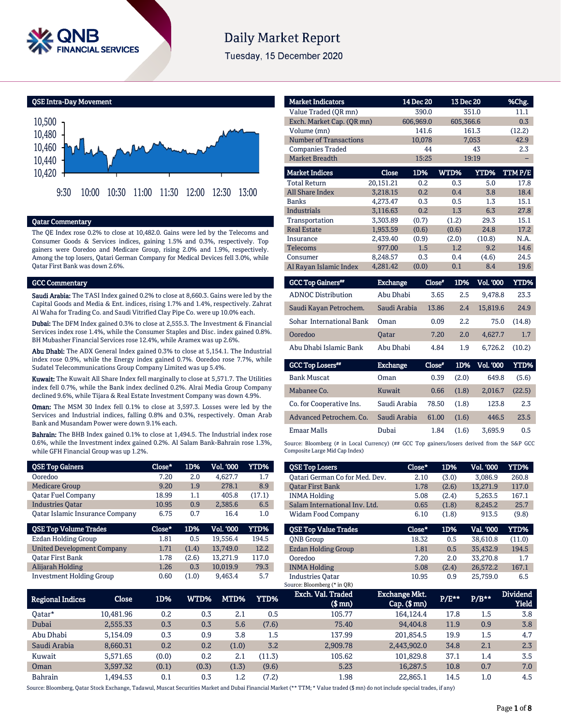

# **Daily Market Report**

Tuesday, 15 December 2020

QSE Intra-Day Movement



#### Qatar Commentary

The QE Index rose 0.2% to close at 10,482.0. Gains were led by the Telecoms and Consumer Goods & Services indices, gaining 1.5% and 0.3%, respectively. Top gainers were Ooredoo and Medicare Group, rising 2.0% and 1.9%, respectively. Among the top losers, Qatari German Company for Medical Devices fell 3.0%, while Qatar First Bank was down 2.6%.

#### GCC Commentary

Saudi Arabia: The TASI Index gained 0.2% to close at 8,660.3. Gains were led by the Capital Goods and Media & Ent. indices, rising 1.7% and 1.4%, respectively. Zahrat Al Waha for Trading Co. and Saudi Vitrified Clay Pipe Co. were up 10.0% each.

Dubai: The DFM Index gained 0.3% to close at 2,555.3. The Investment & Financial Services index rose 1.4%, while the Consumer Staples and Disc. index gained 0.8%. BH Mubasher Financial Services rose 12.4%, while Aramex was up 2.6%.

Abu Dhabi: The ADX General Index gained 0.3% to close at 5,154.1. The Industrial index rose 0.9%, while the Energy index gained 0.7%. Ooredoo rose 7.7%, while Sudatel Telecommunications Group Company Limited was up 5.4%.

Kuwait: The Kuwait All Share Index fell marginally to close at 5,571.7. The Utilities index fell 0.7%, while the Bank index declined 0.2%. Alrai Media Group Company declined 9.6%, while Tijara & Real Estate Investment Company was down 4.9%.

Oman: The MSM 30 Index fell 0.1% to close at 3,597.3. Losses were led by the Services and Industrial indices, falling 0.8% and 0.3%, respectively. Oman Arab Bank and Musandam Power were down 9.1% each.

Bahrain: The BHB Index gained 0.1% to close at 1,494.5. The Industrial index rose 0.6%, while the Investment index gained 0.2%. Al Salam Bank-Bahrain rose 1.3%, while GFH Financial Group was up 1.2%.

| <b>QSE Top Gainers</b>                 | Close* | 1D%   | <b>Vol. '000</b> | <b>YTD%</b> |
|----------------------------------------|--------|-------|------------------|-------------|
| Ooredoo                                | 7.20   | 2.0   | 4,627.7          | 1.7         |
| <b>Medicare Group</b>                  | 9.20   | 1.9   | 278.1            | 8.9         |
| <b>Oatar Fuel Company</b>              | 18.99  | 1.1   | 405.8            | (17.1)      |
| <b>Industries Oatar</b>                | 10.95  | 0.9   | 2,385.6          | 6.5         |
| <b>Qatar Islamic Insurance Company</b> | 6.75   | 0.7   | 16.4             | 1.0         |
|                                        |        |       |                  |             |
| <b>QSE Top Volume Trades</b>           | Close* | 1D%   | Vol. '000        | YTD%        |
| <b>Ezdan Holding Group</b>             | 1.81   | 0.5   | 19.556.4         | 194.5       |
| <b>United Development Company</b>      | 1.71   | (1.4) | 13,749.0         | 12.2        |
| <b>Oatar First Bank</b>                | 1.78   | (2.6) | 13,271.9         | 117.0       |
| Alijarah Holding                       | 1.26   | 0.3   | 10,019.9         | 79.3        |

| <b>Market Indicators</b>      |           | 14 Dec 20 |       | 13 Dec 20 | %Chg.  |
|-------------------------------|-----------|-----------|-------|-----------|--------|
| Value Traded (QR mn)          |           | 390.0     |       | 351.0     | 11.1   |
| Exch. Market Cap. (OR mn)     |           | 606,969.0 |       | 605,366.6 | 0.3    |
| Volume (mn)                   |           | 141.6     |       | 161.3     | (12.2) |
| <b>Number of Transactions</b> |           | 10,078    |       | 7,053     | 42.9   |
| <b>Companies Traded</b>       |           | 44        |       | 43        | 2.3    |
| <b>Market Breadth</b>         |           | 15:25     |       | 19:19     |        |
| <b>Market Indices</b>         | Close     | 1D%       | WTD%  | YTD%      | TTMP/E |
| <b>Total Return</b>           | 20.151.21 | 0.2       | 0.3   | 5.0       | 17.8   |
| <b>All Share Index</b>        | 3,218.15  | 0.2       | 0.4   | 3.8       | 18.4   |
| <b>Banks</b>                  | 4,273.47  | 0.3       | 0.5   | 1.3       | 15.1   |
| <b>Industrials</b>            | 3.116.63  | 0.2       | 1.3   | 6.3       | 27.8   |
| Transportation                | 3.303.89  | (0.7)     | (1.2) | 29.3      | 15.1   |
| <b>Real Estate</b>            | 1,953.59  | (0.6)     | (0.6) | 24.8      | 17.2   |
| Insurance                     | 2,439.40  | (0.9)     | (2.0) | (10.8)    | N.A.   |
| <b>Telecoms</b>               | 977.00    | 1.5       | 1.2   | 9.2       | 14.6   |
| Consumer                      | 8,248.57  | 0.3       | 0.4   | (4.6)     | 24.5   |
| Al Rayan Islamic Index        | 4,281.42  | (0.0)     | 0.1   | 8.4       | 19.6   |

| <b>GCC Top Gainers</b> "  | Exchange,    | Close* | 1D% | <b>Vol. '000</b> | YTD%   |
|---------------------------|--------------|--------|-----|------------------|--------|
| <b>ADNOC Distribution</b> | Abu Dhabi    | 3.65   | 2.5 | 9.478.8          | 23.3   |
| Saudi Kayan Petrochem.    | Saudi Arabia | 13.86  | 2.4 | 15,819.6         | 24.9   |
| Sohar International Bank  | Oman         | 0.09   | 2.2 | 75.0             | (14.8) |
| Ooredoo                   | <b>Oatar</b> | 7.20   | 2.0 | 4.627.7          | 1.7    |
| Abu Dhabi Islamic Bank    | Abu Dhabi    | 4.84   | 1.9 | 6.726.2          | (10.2) |

| <b>Exchange</b> | Close* | 1D%   | <b>Vol. '000</b> | YTD%   |
|-----------------|--------|-------|------------------|--------|
| Oman            | 0.39   | (2.0) | 649.8            | (5.6)  |
| Kuwait          | 0.66   | (1.8) | 2.016.7          | (22.5) |
| Saudi Arabia    | 78.50  | (1.8) | 123.8            | 2.3    |
| Saudi Arabia    | 61.00  | (1.6) | 446.5            | 23.5   |
| Dubai           | 1.84   | (1.6) | 3.695.9          | 0.5    |
|                 |        |       |                  |        |

Source: Bloomberg (# in Local Currency) (## GCC Top gainers/losers derived from the S&P GCC Composite Large Mid Cap Index)

| <b>QSE Top Losers</b>          | Close* | 1D%   | <b>Vol. '000</b> | YTD%   |
|--------------------------------|--------|-------|------------------|--------|
| Oatari German Co for Med. Dev. | 2.10   | (3.0) | 3.086.9          | 260.8  |
| <b>Oatar First Bank</b>        | 1.78   | (2.6) | 13.271.9         | 117.0  |
| <b>INMA Holding</b>            | 5.08   | (2.4) | 5,263.5          | 167.1  |
| Salam International Inv. Ltd.  | 0.65   | (1.8) | 8.245.2          | 25.7   |
| Widam Food Company             | 6.10   | (1.8) | 913.5            | (9.8)  |
|                                |        |       |                  |        |
|                                |        |       |                  |        |
| <b>OSE Top Value Trades</b>    | Close* | 1D%   | Val. '000        | YTD%   |
| <b>ONB</b> Group               | 18.32  | 0.5   | 38.610.8         | (11.0) |
| <b>Ezdan Holding Group</b>     | 1.81   | 0.5   | 35.432.9         | 194.5  |
| Ooredoo                        | 7.20   | 2.0   | 33,270.8         | 1.7    |
| <b>INMA Holding</b>            | 5.08   | (2.4) | 26,572.2         | 167.1  |

| Regional Indices | Close     | 1D%   | WTD%' | MTD%  | YTD%   | Exch. Val. Traded<br>$$$ mn $)$ | Exchange Mkt.<br>$Cap.$ (\$ mn) | P/E** | $P/B***$ | <b>Dividend</b><br><b>Yield</b> |
|------------------|-----------|-------|-------|-------|--------|---------------------------------|---------------------------------|-------|----------|---------------------------------|
| 0atar*           | 10.481.96 | 0.2   | 0.3   | 2.1   | 0.5    | 105.77                          | 164.124.4                       | 17.8  | 1.5      | 3.8                             |
| Dubai            | 2,555.33  | 0.3   | 0.3   | 5.6   | (7.6)  | 75.40                           | 94.404.8                        | 11.9  | 0.9      | 3.8                             |
| Abu Dhabi        | 5.154.09  | 0.3   | 0.9   | 3.8   | 1.5    | 137.99                          | 201.854.5                       | 19.9  | 1.5      | 4.7                             |
| Saudi Arabia     | 8,660.31  | 0.2   | 0.2   | (1.0) | 3.2    | 2.909.78                        | 2,443,902.0                     | 34.8  | 2.1      | 2.3                             |
| Kuwait           | 5.571.65  | (0.0) | 0.2   | 2.1   | (11.3) | 105.62                          | 101.829.8                       | 37.1  | 1.4      | 3.5                             |
| Oman             | 3,597.32  | (0.1) | (0.3) | (1.3) | (9.6)  | 5.23                            | 16.287.5                        | 10.8  | 0.7      | 7.0                             |
| Bahrain          | .494.53   | 0.1   | 0.3   | 1.2   | (7.2)  | 1.98                            | 22.865.1                        | 14.5  | 1.0      | 4.5                             |

Source: Bloomberg, Qatar Stock Exchange, Tadawul, Muscat Securities Market and Dubai Financial Market (\*\* TTM; \* Value traded (\$ mn) do not include special trades, if any)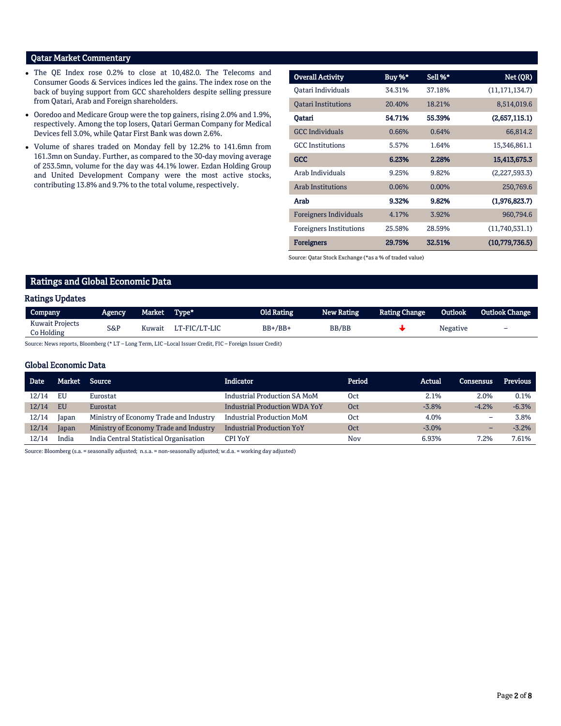# Qatar Market Commentary

- The QE Index rose 0.2% to close at 10,482.0. The Telecoms and Consumer Goods & Services indices led the gains. The index rose on the back of buying support from GCC shareholders despite selling pressure from Qatari, Arab and Foreign shareholders.
- Ooredoo and Medicare Group were the top gainers, rising 2.0% and 1.9%, respectively. Among the top losers, Qatari German Company for Medical Devices fell 3.0%, while Qatar First Bank was down 2.6%.
- Volume of shares traded on Monday fell by 12.2% to 141.6mn from 161.3mn on Sunday. Further, as compared to the 30-day moving average of 253.5mn, volume for the day was 44.1% lower. Ezdan Holding Group and United Development Company were the most active stocks, contributing 13.8% and 9.7% to the total volume, respectively.

| <b>Overall Activity</b>        | Buy %* | Sell %*  | Net (QR)         |
|--------------------------------|--------|----------|------------------|
| Oatari Individuals             | 34.31% | 37.18%   | (11, 171, 134.7) |
| <b>Oatari Institutions</b>     | 20.40% | 18.21%   | 8,514,019.6      |
| Qatari                         | 54.71% | 55.39%   | (2,657,115.1)    |
| <b>GCC</b> Individuals         | 0.66%  | 0.64%    | 66,814.2         |
| <b>GCC</b> Institutions        | 5.57%  | 1.64%    | 15,346,861.1     |
| <b>GCC</b>                     | 6.23%  | 2.28%    | 15,413,675.3     |
| Arab Individuals               | 9.25%  | 9.82%    | (2,227,593.3)    |
| <b>Arab Institutions</b>       | 0.06%  | $0.00\%$ | 250,769.6        |
| Arab                           | 9.32%  | 9.82%    | (1,976,823.7)    |
| <b>Foreigners Individuals</b>  | 4.17%  | 3.92%    | 960,794.6        |
| <b>Foreigners Institutions</b> | 25.58% | 28.59%   | (11,740,531.1)   |
| <b>Foreigners</b>              | 29.75% | 32.51%   | (10,779,736.5)   |

Source: Qatar Stock Exchange (\*as a % of traded value)

# Ratings and Global Economic Data

#### Ratings Updates

| -                                    |        |              |               |                   |            |                      |          |                |
|--------------------------------------|--------|--------------|---------------|-------------------|------------|----------------------|----------|----------------|
| Company                              | Agency | Market Type* |               | <b>Old Rating</b> | New Rating | <b>Rating Change</b> | Outlook  | Outlook Change |
| <b>Kuwait Projects</b><br>Co Holding | S&P    | Kuwait       | LT-FIC/LT-LIC | $BB+/BB+$         | BB/BB      |                      | Negative | -              |

Source: News reports, Bloomberg (\* LT – Long Term, LIC –Local Issuer Credit, FIC – Foreign Issuer Credit)

#### Global Economic Data

| <b>Date</b> | Market    | Source                                 | Indicator                            | Period | Actual   | <b>Consensus</b>         | <b>Previous</b> |
|-------------|-----------|----------------------------------------|--------------------------------------|--------|----------|--------------------------|-----------------|
| 12/14       | EU        | Eurostat                               | <b>Industrial Production SA MoM</b>  | 0ct    | 2.1%     | 2.0%                     | 0.1%            |
| 12/14       | <b>EU</b> | Eurostat                               | <b>Industrial Production WDA YoY</b> | Oct    | $-3.8%$  | $-4.2%$                  | $-6.3%$         |
| 12/14       | Japan     | Ministry of Economy Trade and Industry | <b>Industrial Production MoM</b>     | 0ct    | 4.0%     | $\overline{\phantom{0}}$ | 3.8%            |
| 12/14       | Japan     | Ministry of Economy Trade and Industry | <b>Industrial Production YoY</b>     | 0ct    | $-3.0\%$ | $\overline{\phantom{0}}$ | $-3.2%$         |
| 12/14       | India     | India Central Statistical Organisation | CPI YoY                              | Nov    | 6.93%    | 7.2%                     | 7.61%           |

Source: Bloomberg (s.a. = seasonally adjusted; n.s.a. = non-seasonally adjusted; w.d.a. = working day adjusted)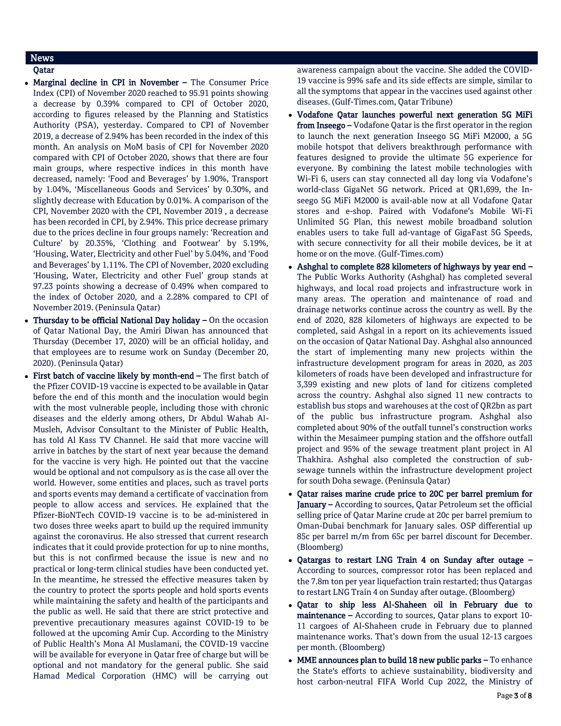# News

- Qatar
- Marginal decline in CPI in November The Consumer Price Index (CPI) of November 2020 reached to 95.91 points showing a decrease by 0.39% compared to CPI of October 2020, according to figures released by the Planning and Statistics Authority (PSA), yesterday. Compared to CPI of November 2019, a decrease of 2.94% has been recorded in the index of this month. An analysis on MoM basis of CPI for November 2020 compared with CPI of October 2020, shows that there are four main groups, where respective indices in this month have decreased, namely: 'Food and Beverages' by 1.90%, Transport by 1.04%, 'Miscellaneous Goods and Services' by 0.30%, and slightly decrease with Education by 0.01%. A comparison of the CPI, November 2020 with the CPI, November 2019 , a decrease has been recorded in CPI, by 2.94%. This price decrease primary due to the prices decline in four groups namely: 'Recreation and Culture' by 20.35%, 'Clothing and Footwear' by 5.19%, 'Housing, Water, Electricity and other Fuel' by 5.04%, and 'Food and Beverages' by 1.11%. The CPI of November, 2020 excluding 'Housing, Water, Electricity and other Fuel' group stands at 97.23 points showing a decrease of 0.49% when compared to the index of October 2020, and a 2.28% compared to CPI of November 2019. (Peninsula Qatar)
- Thursday to be official National Day holiday On the occasion of Qatar National Day, the Amiri Diwan has announced that Thursday (December 17, 2020) will be an official holiday, and that employees are to resume work on Sunday (December 20, 2020). (Peninsula Qatar)
- First batch of vaccine likely by month-end The first batch of the Pfizer COVID-19 vaccine is expected to be available in Qatar before the end of this month and the inoculation would begin with the most vulnerable people, including those with chronic diseases and the elderly among others, Dr Abdul Wahab Al-Musleh, Advisor Consultant to the Minister of Public Health, has told Al Kass TV Channel. He said that more vaccine will arrive in batches by the start of next year because the demand for the vaccine is very high. He pointed out that the vaccine would be optional and not compulsory as is the case all over the world. However, some entities and places, such as travel ports and sports events may demand a certificate of vaccination from people to allow access and services. He explained that the Pfizer-BioNTech COVID-19 vaccine is to be ad-ministered in two doses three weeks apart to build up the required immunity against the coronavirus. He also stressed that current research indicates that it could provide protection for up to nine months, but this is not confirmed because the issue is new and no practical or long-term clinical studies have been conducted yet. In the meantime, he stressed the effective measures taken by the country to protect the sports people and hold sports events while maintaining the safety and health of the participants and the public as well. He said that there are strict protective and preventive precautionary measures against COVID-19 to be followed at the upcoming Amir Cup. According to the Ministry of Public Health's Mona Al Muslamani, the COVID-19 vaccine will be available for everyone in Qatar free of charge but will be optional and not mandatory for the general public. She said Hamad Medical Corporation (HMC) will be carrying out

awareness campaign about the vaccine. She added the COVID-19 vaccine is 99% safe and its side effects are simple, similar to all the symptoms that appear in the vaccines used against other diseases. (Gulf-Times.com, Qatar Tribune)

- Vodafone Qatar launches powerful next generation 5G MiFi from Inseego - Vodafone Qatar is the first operator in the region to launch the next generation Inseego 5G MiFi M2000, a 5G mobile hotspot that delivers breakthrough performance with features designed to provide the ultimate 5G experience for everyone. By combining the latest mobile technologies with Wi-Fi 6, users can stay connected all day long via Vodafone's world-class GigaNet 5G network. Priced at QR1,699, the Inseego 5G MiFi M2000 is avail-able now at all Vodafone Qatar stores and e-shop. Paired with Vodafone's Mobile Wi-Fi Unlimited 5G Plan, this newest mobile broadband solution enables users to take full ad-vantage of GigaFast 5G Speeds, with secure connectivity for all their mobile devices, be it at home or on the move. (Gulf-Times.com)
- Ashghal to complete 828 kilometers of highways by year end The Public Works Authority (Ashghal) has completed several highways, and local road projects and infrastructure work in many areas. The operation and maintenance of road and drainage networks continue across the country as well. By the end of 2020, 828 kilometers of highways are expected to be completed, said Ashgal in a report on its achievements issued on the occasion of Qatar National Day. Ashghal also announced the start of implementing many new projects within the infrastructure development program for areas in 2020, as 203 kilometers of roads have been developed and infrastructure for 3,399 existing and new plots of land for citizens completed across the country. Ashghal also signed 11 new contracts to establish bus stops and warehouses at the cost of QR2bn as part of the public bus infrastructure program. Ashghal also completed about 90% of the outfall tunnel's construction works within the Mesaimeer pumping station and the offshore outfall project and 95% of the sewage treatment plant project in Al Thakhira. Ashghal also completed the construction of subsewage tunnels within the infrastructure development project for south Doha sewage. (Peninsula Qatar)
- Qatar raises marine crude price to 20C per barrel premium for January - According to sources, Qatar Petroleum set the official selling price of Qatar Marine crude at 20c per barrel premium to Oman-Dubai benchmark for January sales. OSP differential up 85c per barrel m/m from 65c per barrel discount for December. (Bloomberg)
- Qatargas to restart LNG Train 4 on Sunday after outage According to sources, compressor rotor has been replaced and the 7.8m ton per year liquefaction train restarted; thus Qatargas to restart LNG Train 4 on Sunday after outage. (Bloomberg)
- Qatar to ship less Al-Shaheen oil in February due to maintenance – According to sources, Qatar plans to export 10- 11 cargoes of Al-Shaheen crude in February due to planned maintenance works. That's down from the usual 12-13 cargoes per month. (Bloomberg)
- MME announces plan to build 18 new public parks To enhance the State's efforts to achieve sustainability, biodiversity and host carbon-neutral FIFA World Cup 2022, the Ministry of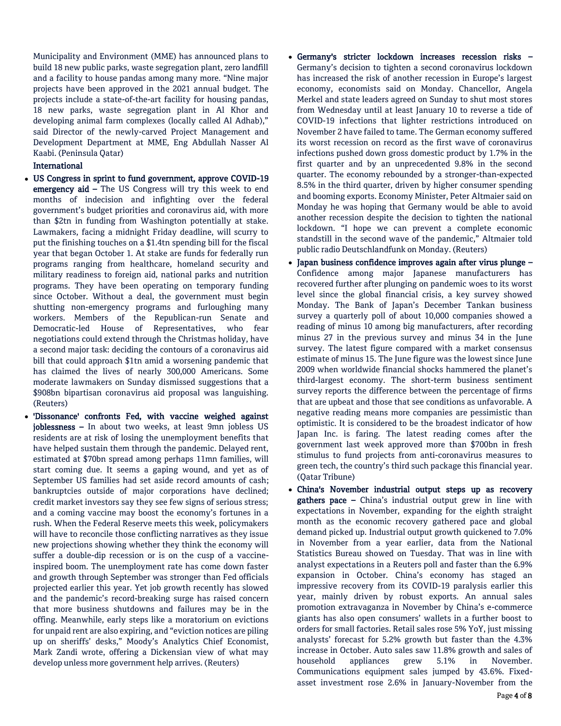Municipality and Environment (MME) has announced plans to build 18 new public parks, waste segregation plant, zero landfill and a facility to house pandas among many more. "Nine major projects have been approved in the 2021 annual budget. The projects include a state-of-the-art facility for housing pandas, 18 new parks, waste segregation plant in Al Khor and developing animal farm complexes (locally called Al Adhab)," said Director of the newly-carved Project Management and Development Department at MME, Eng Abdullah Nasser Al Kaabi. (Peninsula Qatar)

# International

- US Congress in sprint to fund government, approve COVID-19 emergency aid – The US Congress will try this week to end months of indecision and infighting over the federal government's budget priorities and coronavirus aid, with more than \$2tn in funding from Washington potentially at stake. Lawmakers, facing a midnight Friday deadline, will scurry to put the finishing touches on a \$1.4tn spending bill for the fiscal year that began October 1. At stake are funds for federally run programs ranging from healthcare, homeland security and military readiness to foreign aid, national parks and nutrition programs. They have been operating on temporary funding since October. Without a deal, the government must begin shutting non-emergency programs and furloughing many workers. Members of the Republican-run Senate and Democratic-led House of Representatives, who fear negotiations could extend through the Christmas holiday, have a second major task: deciding the contours of a coronavirus aid bill that could approach \$1tn amid a worsening pandemic that has claimed the lives of nearly 300,000 Americans. Some moderate lawmakers on Sunday dismissed suggestions that a \$908bn bipartisan coronavirus aid proposal was languishing. (Reuters)
- 'Dissonance' confronts Fed, with vaccine weighed against joblessness - In about two weeks, at least 9mn jobless US residents are at risk of losing the unemployment benefits that have helped sustain them through the pandemic. Delayed rent, estimated at \$70bn spread among perhaps 11mn families, will start coming due. It seems a gaping wound, and yet as of September US families had set aside record amounts of cash; bankruptcies outside of major corporations have declined; credit market investors say they see few signs of serious stress; and a coming vaccine may boost the economy's fortunes in a rush. When the Federal Reserve meets this week, policymakers will have to reconcile those conflicting narratives as they issue new projections showing whether they think the economy will suffer a double-dip recession or is on the cusp of a vaccineinspired boom. The unemployment rate has come down faster and growth through September was stronger than Fed officials projected earlier this year. Yet job growth recently has slowed and the pandemic's record-breaking surge has raised concern that more business shutdowns and failures may be in the offing. Meanwhile, early steps like a moratorium on evictions for unpaid rent are also expiring, and "eviction notices are piling up on sheriffs' desks," Moody's Analytics Chief Economist, Mark Zandi wrote, offering a Dickensian view of what may develop unless more government help arrives. (Reuters)
- Germany's stricter lockdown increases recession risks Germany's decision to tighten a second coronavirus lockdown has increased the risk of another recession in Europe's largest economy, economists said on Monday. Chancellor, Angela Merkel and state leaders agreed on Sunday to shut most stores from Wednesday until at least January 10 to reverse a tide of COVID-19 infections that lighter restrictions introduced on November 2 have failed to tame. The German economy suffered its worst recession on record as the first wave of coronavirus infections pushed down gross domestic product by 1.7% in the first quarter and by an unprecedented 9.8% in the second quarter. The economy rebounded by a stronger-than-expected 8.5% in the third quarter, driven by higher consumer spending and booming exports. Economy Minister, Peter Altmaier said on Monday he was hoping that Germany would be able to avoid another recession despite the decision to tighten the national lockdown. "I hope we can prevent a complete economic standstill in the second wave of the pandemic," Altmaier told public radio Deutschlandfunk on Monday. (Reuters)
- Japan business confidence improves again after virus plunge Confidence among major Japanese manufacturers has recovered further after plunging on pandemic woes to its worst level since the global financial crisis, a key survey showed Monday. The Bank of Japan's December Tankan business survey a quarterly poll of about 10,000 companies showed a reading of minus 10 among big manufacturers, after recording minus 27 in the previous survey and minus 34 in the June survey. The latest figure compared with a market consensus estimate of minus 15. The June figure was the lowest since June 2009 when worldwide financial shocks hammered the planet's third-largest economy. The short-term business sentiment survey reports the difference between the percentage of firms that are upbeat and those that see conditions as unfavorable. A negative reading means more companies are pessimistic than optimistic. It is considered to be the broadest indicator of how Japan Inc. is faring. The latest reading comes after the government last week approved more than \$700bn in fresh stimulus to fund projects from anti-coronavirus measures to green tech, the country's third such package this financial year. (Qatar Tribune)
- China's November industrial output steps up as recovery gathers pace – China's industrial output grew in line with expectations in November, expanding for the eighth straight month as the economic recovery gathered pace and global demand picked up. Industrial output growth quickened to 7.0% in November from a year earlier, data from the National Statistics Bureau showed on Tuesday. That was in line with analyst expectations in a Reuters poll and faster than the 6.9% expansion in October. China's economy has staged an impressive recovery from its COVID-19 paralysis earlier this year, mainly driven by robust exports. An annual sales promotion extravaganza in November by China's e-commerce giants has also open consumers' wallets in a further boost to orders for small factories. Retail sales rose 5% YoY, just missing analysts' forecast for 5.2% growth but faster than the 4.3% increase in October. Auto sales saw 11.8% growth and sales of household appliances grew 5.1% in November. Communications equipment sales jumped by 43.6%. Fixedasset investment rose 2.6% in January-November from the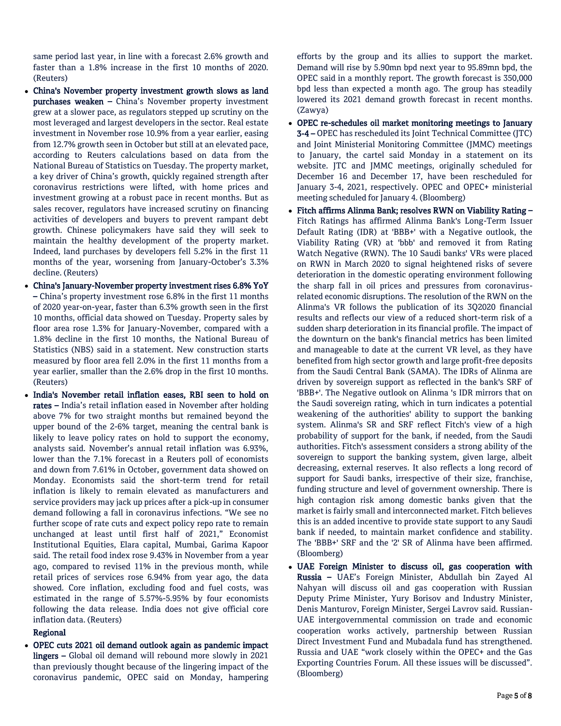same period last year, in line with a forecast 2.6% growth and faster than a 1.8% increase in the first 10 months of 2020. (Reuters)

- China's November property investment growth slows as land purchases weaken – China's November property investment grew at a slower pace, as regulators stepped up scrutiny on the most leveraged and largest developers in the sector. Real estate investment in November rose 10.9% from a year earlier, easing from 12.7% growth seen in October but still at an elevated pace, according to Reuters calculations based on data from the National Bureau of Statistics on Tuesday. The property market, a key driver of China's growth, quickly regained strength after coronavirus restrictions were lifted, with home prices and investment growing at a robust pace in recent months. But as sales recover, regulators have increased scrutiny on financing activities of developers and buyers to prevent rampant debt growth. Chinese policymakers have said they will seek to maintain the healthy development of the property market. Indeed, land purchases by developers fell 5.2% in the first 11 months of the year, worsening from January-October's 3.3% decline. (Reuters)
- China's January-November property investment rises 6.8% YoY – China's property investment rose 6.8% in the first 11 months of 2020 year-on-year, faster than 6.3% growth seen in the first 10 months, official data showed on Tuesday. Property sales by floor area rose 1.3% for January-November, compared with a 1.8% decline in the first 10 months, the National Bureau of Statistics (NBS) said in a statement. New construction starts measured by floor area fell 2.0% in the first 11 months from a year earlier, smaller than the 2.6% drop in the first 10 months. (Reuters)
- India's November retail inflation eases, RBI seen to hold on rates – India's retail inflation eased in November after holding above 7% for two straight months but remained beyond the upper bound of the 2-6% target, meaning the central bank is likely to leave policy rates on hold to support the economy, analysts said. November's annual retail inflation was 6.93%, lower than the 7.1% forecast in a Reuters poll of economists and down from 7.61% in October, government data showed on Monday. Economists said the short-term trend for retail inflation is likely to remain elevated as manufacturers and service providers may jack up prices after a pick-up in consumer demand following a fall in coronavirus infections. "We see no further scope of rate cuts and expect policy repo rate to remain unchanged at least until first half of 2021," Economist Institutional Equities, Elara capital, Mumbai, Garima Kapoor said. The retail food index rose 9.43% in November from a year ago, compared to revised 11% in the previous month, while retail prices of services rose 6.94% from year ago, the data showed. Core inflation, excluding food and fuel costs, was estimated in the range of 5.57%-5.95% by four economists following the data release. India does not give official core inflation data. (Reuters)

# Regional

 OPEC cuts 2021 oil demand outlook again as pandemic impact lingers – Global oil demand will rebound more slowly in 2021 than previously thought because of the lingering impact of the coronavirus pandemic, OPEC said on Monday, hampering

efforts by the group and its allies to support the market. Demand will rise by 5.90mn bpd next year to 95.89mn bpd, the OPEC said in a monthly report. The growth forecast is 350,000 bpd less than expected a month ago. The group has steadily lowered its 2021 demand growth forecast in recent months. (Zawya)

- OPEC re-schedules oil market monitoring meetings to January 3-4 – OPEC has rescheduled its Joint Technical Committee (JTC) and Joint Ministerial Monitoring Committee (JMMC) meetings to January, the cartel said Monday in a statement on its website. JTC and JMMC meetings, originally scheduled for December 16 and December 17, have been rescheduled for January 3-4, 2021, respectively. OPEC and OPEC+ ministerial meeting scheduled for January 4. (Bloomberg)
- Fitch affirms Alinma Bank; resolves RWN on Viability Rating Fitch Ratings has affirmed Alinma Bank's Long-Term Issuer Default Rating (IDR) at 'BBB+' with a Negative outlook, the Viability Rating (VR) at 'bbb' and removed it from Rating Watch Negative (RWN). The 10 Saudi banks' VRs were placed on RWN in March 2020 to signal heightened risks of severe deterioration in the domestic operating environment following the sharp fall in oil prices and pressures from coronavirusrelated economic disruptions. The resolution of the RWN on the Alinma's VR follows the publication of its 3Q2020 financial results and reflects our view of a reduced short-term risk of a sudden sharp deterioration in its financial profile. The impact of the downturn on the bank's financial metrics has been limited and manageable to date at the current VR level, as they have benefited from high sector growth and large profit-free deposits from the Saudi Central Bank (SAMA). The IDRs of Alinma are driven by sovereign support as reflected in the bank's SRF of 'BBB+'. The Negative outlook on Alinma 's IDR mirrors that on the Saudi sovereign rating, which in turn indicates a potential weakening of the authorities' ability to support the banking system. Alinma's SR and SRF reflect Fitch's view of a high probability of support for the bank, if needed, from the Saudi authorities. Fitch's assessment considers a strong ability of the sovereign to support the banking system, given large, albeit decreasing, external reserves. It also reflects a long record of support for Saudi banks, irrespective of their size, franchise, funding structure and level of government ownership. There is high contagion risk among domestic banks given that the market is fairly small and interconnected market. Fitch believes this is an added incentive to provide state support to any Saudi bank if needed, to maintain market confidence and stability. The 'BBB+' SRF and the '2' SR of Alinma have been affirmed. (Bloomberg)
- UAE Foreign Minister to discuss oil, gas cooperation with Russia – UAE's Foreign Minister, Abdullah bin Zayed Al Nahyan will discuss oil and gas cooperation with Russian Deputy Prime Minister, Yury Borisov and Industry Minister, Denis Manturov, Foreign Minister, Sergei Lavrov said. Russian-UAE intergovernmental commission on trade and economic cooperation works actively, partnership between Russian Direct Investment Fund and Mubadala fund has strengthened. Russia and UAE "work closely within the OPEC+ and the Gas Exporting Countries Forum. All these issues will be discussed". (Bloomberg)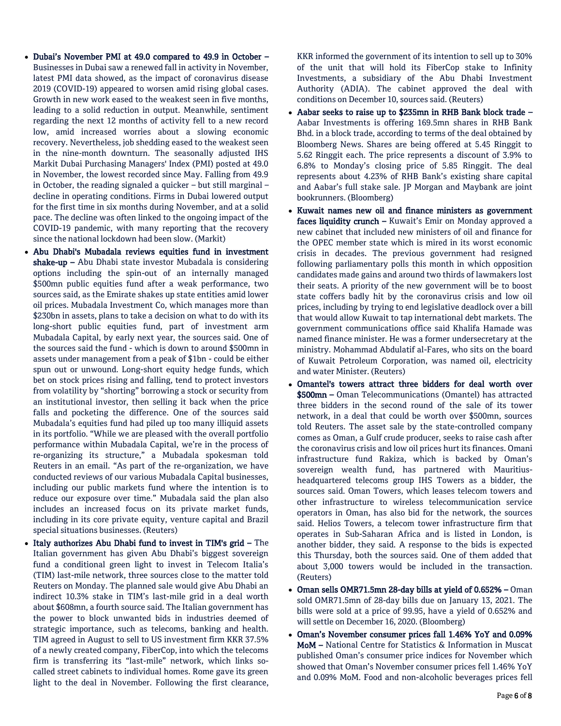- Dubai's November PMI at 49.0 compared to 49.9 in October Businesses in Dubai saw a renewed fall in activity in November, latest PMI data showed, as the impact of coronavirus disease 2019 (COVID-19) appeared to worsen amid rising global cases. Growth in new work eased to the weakest seen in five months, leading to a solid reduction in output. Meanwhile, sentiment regarding the next 12 months of activity fell to a new record low, amid increased worries about a slowing economic recovery. Nevertheless, job shedding eased to the weakest seen in the nine-month downturn. The seasonally adjusted IHS Markit Dubai Purchasing Managers' Index (PMI) posted at 49.0 in November, the lowest recorded since May. Falling from 49.9 in October, the reading signaled a quicker – but still marginal – decline in operating conditions. Firms in Dubai lowered output for the first time in six months during November, and at a solid pace. The decline was often linked to the ongoing impact of the COVID-19 pandemic, with many reporting that the recovery since the national lockdown had been slow. (Markit)
- Abu Dhabi's Mubadala reviews equities fund in investment shake-up - Abu Dhabi state investor Mubadala is considering options including the spin-out of an internally managed \$500mn public equities fund after a weak performance, two sources said, as the Emirate shakes up state entities amid lower oil prices. Mubadala Investment Co, which manages more than \$230bn in assets, plans to take a decision on what to do with its long-short public equities fund, part of investment arm Mubadala Capital, by early next year, the sources said. One of the sources said the fund - which is down to around \$500mn in assets under management from a peak of \$1bn - could be either spun out or unwound. Long-short equity hedge funds, which bet on stock prices rising and falling, tend to protect investors from volatility by "shorting" borrowing a stock or security from an institutional investor, then selling it back when the price falls and pocketing the difference. One of the sources said Mubadala's equities fund had piled up too many illiquid assets in its portfolio. "While we are pleased with the overall portfolio performance within Mubadala Capital, we're in the process of re-organizing its structure," a Mubadala spokesman told Reuters in an email. "As part of the re-organization, we have conducted reviews of our various Mubadala Capital businesses, including our public markets fund where the intention is to reduce our exposure over time." Mubadala said the plan also includes an increased focus on its private market funds, including in its core private equity, venture capital and Brazil special situations businesses. (Reuters)
- Italy authorizes Abu Dhabi fund to invest in TIM's grid The Italian government has given Abu Dhabi's biggest sovereign fund a conditional green light to invest in Telecom Italia's (TIM) last-mile network, three sources close to the matter told Reuters on Monday. The planned sale would give Abu Dhabi an indirect 10.3% stake in TIM's last-mile grid in a deal worth about \$608mn, a fourth source said. The Italian government has the power to block unwanted bids in industries deemed of strategic importance, such as telecoms, banking and health. TIM agreed in August to sell to US investment firm KKR 37.5% of a newly created company, FiberCop, into which the telecoms firm is transferring its "last-mile" network, which links socalled street cabinets to individual homes. Rome gave its green light to the deal in November. Following the first clearance,

KKR informed the government of its intention to sell up to 30% of the unit that will hold its FiberCop stake to Infinity Investments, a subsidiary of the Abu Dhabi Investment Authority (ADIA). The cabinet approved the deal with conditions on December 10, sources said. (Reuters)

- Aabar seeks to raise up to \$235mn in RHB Bank block trade Aabar Investments is offering 169.5mn shares in RHB Bank Bhd. in a block trade, according to terms of the deal obtained by Bloomberg News. Shares are being offered at 5.45 Ringgit to 5.62 Ringgit each. The price represents a discount of 3.9% to 6.8% to Monday's closing price of 5.85 Ringgit. The deal represents about 4.23% of RHB Bank's existing share capital and Aabar's full stake sale. JP Morgan and Maybank are joint bookrunners. (Bloomberg)
- Kuwait names new oil and finance ministers as government faces liquidity crunch - Kuwait's Emir on Monday approved a new cabinet that included new ministers of oil and finance for the OPEC member state which is mired in its worst economic crisis in decades. The previous government had resigned following parliamentary polls this month in which opposition candidates made gains and around two thirds of lawmakers lost their seats. A priority of the new government will be to boost state coffers badly hit by the coronavirus crisis and low oil prices, including by trying to end legislative deadlock over a bill that would allow Kuwait to tap international debt markets. The government communications office said Khalifa Hamade was named finance minister. He was a former undersecretary at the ministry. Mohammad Abdulatif al-Fares, who sits on the board of Kuwait Petroleum Corporation, was named oil, electricity and water Minister. (Reuters)
- Omantel's towers attract three bidders for deal worth over \$500mn – Oman Telecommunications (Omantel) has attracted three bidders in the second round of the sale of its tower network, in a deal that could be worth over \$500mn, sources told Reuters. The asset sale by the state-controlled company comes as Oman, a Gulf crude producer, seeks to raise cash after the coronavirus crisis and low oil prices hurt its finances. Omani infrastructure fund Rakiza, which is backed by Oman's sovereign wealth fund, has partnered with Mauritiusheadquartered telecoms group IHS Towers as a bidder, the sources said. Oman Towers, which leases telecom towers and other infrastructure to wireless telecommunication service operators in Oman, has also bid for the network, the sources said. Helios Towers, a telecom tower infrastructure firm that operates in Sub-Saharan Africa and is listed in London, is another bidder, they said. A response to the bids is expected this Thursday, both the sources said. One of them added that about 3,000 towers would be included in the transaction. (Reuters)
- Oman sells OMR71.5mn 28-day bills at yield of 0.652% Oman sold OMR71.5mn of 28-day bills due on January 13, 2021. The bills were sold at a price of 99.95, have a yield of 0.652% and will settle on December 16, 2020. (Bloomberg)
- Oman's November consumer prices fall 1.46% YoY and 0.09% MoM – National Centre for Statistics & Information in Muscat published Oman's consumer price indices for November which showed that Oman's November consumer prices fell 1.46% YoY and 0.09% MoM. Food and non-alcoholic beverages prices fell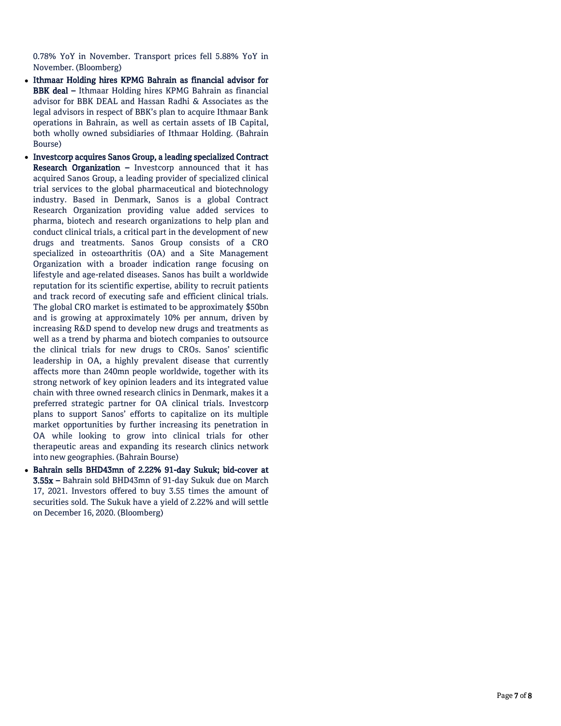0.78% YoY in November. Transport prices fell 5.88% YoY in November. (Bloomberg)

- Ithmaar Holding hires KPMG Bahrain as financial advisor for BBK deal – Ithmaar Holding hires KPMG Bahrain as financial advisor for BBK DEAL and Hassan Radhi & Associates as the legal advisors in respect of BBK's plan to acquire Ithmaar Bank operations in Bahrain, as well as certain assets of IB Capital, both wholly owned subsidiaries of Ithmaar Holding. (Bahrain Bourse)
- Investcorp acquires Sanos Group, a leading specialized Contract Research Organization - Investcorp announced that it has acquired Sanos Group, a leading provider of specialized clinical trial services to the global pharmaceutical and biotechnology industry. Based in Denmark, Sanos is a global Contract Research Organization providing value added services to pharma, biotech and research organizations to help plan and conduct clinical trials, a critical part in the development of new drugs and treatments. Sanos Group consists of a CRO specialized in osteoarthritis (OA) and a Site Management Organization with a broader indication range focusing on lifestyle and age -related diseases. Sanos has built a worldwide reputation for its scientific expertise, ability to recruit patients and track record of executing safe and efficient clinical trials. The global CRO market is estimated to be approximately \$50bn and is growing at approximately 10% per annum, driven by increasing R&D spend to develop new drugs and treatments as well as a trend by pharma and biotech companies to outsource the clinical trials for new drugs to CROs. Sanos' scientific leadership in OA, a highly prevalent disease that currently affects more than 240mn people worldwide, together with its strong network of key opinion leaders and its integrated value chain with three owned research clinics in Denmark, makes it a preferred strategic partner for OA clinical trials. Investcorp plans to support Sanos' efforts to capitalize on its multiple market opportunities by further increasing its penetration in OA while looking to grow into clinical trials for other therapeutic areas and expanding its research clinics network into new geographies. (Bahrain Bourse)
- Bahrain sells BHD43mn of 2.22% 91 -day Sukuk; bid -cover at 3.55x – Bahrain sold BHD43mn of 91 -day Sukuk due on March 17, 2021. Investors offered to buy 3.55 times the amount of securities sold. The Sukuk have a yield of 2.22% and will settle on December 16, 2020. (Bloomberg)